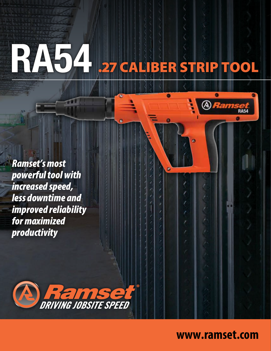# RA54 27 CALIBER STRIP TOOL

O

*Ramset's most powerful tool with increased speed, less downtime and improved reliability for maximized productivity*



## **www.ramset.com**

*IMSet*<br>RA54